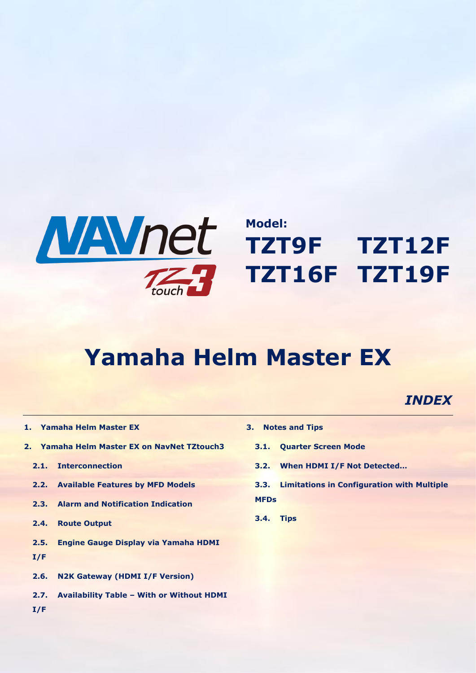

# **Model: TZT9F TZT12F TZT16F TZT19F**

# **Yamaha Helm Master EX**

## *INDEX*

- **[1.](#page-1-0) [Yamaha Helm Master EX](#page-1-0)**
- **[2.](#page-3-0) [Yamaha Helm Master EX on NavNet TZtouch3](#page-3-0)**
	- **[2.1.](#page-3-1) [Interconnection](#page-3-1)**
	- **2.2. [Available Features by MFD Models](#page-4-0)**
	- **[2.3.](#page-4-1) [Alarm and Notification Indication](#page-4-1)**
	- **[2.4.](#page-4-2) [Route Output](#page-4-2)**
	- **2.5. [Engine Gauge Display via Yamaha HDMI](#page-4-3)  [I/F](#page-4-3)**
	- **[2.6.](#page-5-0) [N2K Gateway \(HDMI I/F Version\)](#page-5-0)**
	- **2.7. Availability Table – [With or Without HDMI](#page-5-1)**
- **[3.](#page-5-2) [Notes and Tips](#page-5-2)**
	- **[3.1.](#page-5-3) [Quarter Screen Mode](#page-5-3)**
	- **[3.2.](#page-6-0) [When HDMI I/F Not Detected…](#page-6-0)**
	- **3.3. [Limitations in Configuration with Multiple](#page-6-1)  [MFDs](#page-6-1)**
	- **[3.4.](#page-7-0) [Tips](#page-7-0)**

**[I/F](#page-5-1)**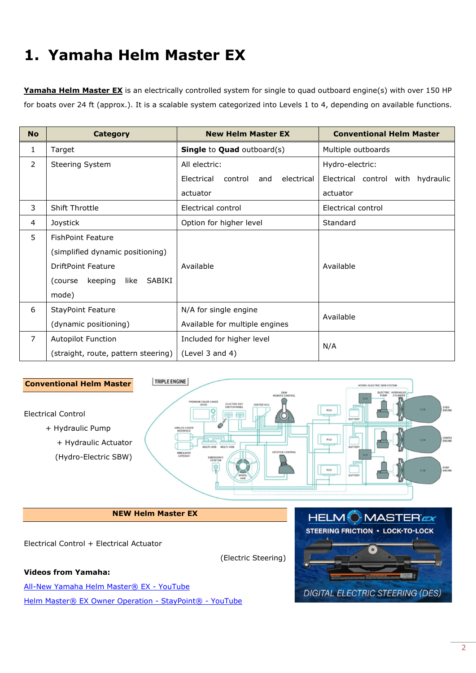## <span id="page-1-0"></span>**1. Yamaha Helm Master EX**

**Yamaha Helm Master EX** is an electrically controlled system for single to quad outboard engine(s) with over 150 HP for boats over 24 ft (approx.). It is a scalable system categorized into Levels 1 to 4, depending on available functions.

| <b>No</b>      | <b>Category</b>                      | <b>New Helm Master EX</b>                  | <b>Conventional Helm Master</b>   |  |
|----------------|--------------------------------------|--------------------------------------------|-----------------------------------|--|
| 1              | Target                               | <b>Single to Quad outboard(s)</b>          | Multiple outboards                |  |
| $\overline{2}$ | Steering System                      | All electric:                              | Hydro-electric:                   |  |
|                |                                      | Electrical<br>control<br>electrical<br>and | Electrical control with hydraulic |  |
|                |                                      | actuator                                   | actuator                          |  |
| 3              | <b>Shift Throttle</b>                | Electrical control                         | Electrical control                |  |
| 4              | Joystick                             | Option for higher level                    | Standard                          |  |
| 5              | <b>FishPoint Feature</b>             |                                            |                                   |  |
|                | (simplified dynamic positioning)     |                                            |                                   |  |
|                | <b>DriftPoint Feature</b>            | Available                                  | Available                         |  |
|                | keeping<br>SABIKI<br>(course<br>like |                                            |                                   |  |
|                | mode)                                |                                            |                                   |  |
| 6              | <b>StayPoint Feature</b>             | N/A for single engine                      | Available                         |  |
|                | (dynamic positioning)                | Available for multiple engines             |                                   |  |
| $\overline{7}$ | <b>Autopilot Function</b>            | Included for higher level                  | N/A                               |  |
|                | (straight, route, pattern steering)  | (Level $3$ and $4$ )                       |                                   |  |



#### **NEW Helm Master EX**

Electrical Control + Electrical Actuator

(Electric Steering)

#### **Videos from Yamaha:**

[All-New Yamaha Helm Master® EX -](https://www.youtube.com/watch?v=kkOaKa3Qzbw) [YouTube](https://www.youtube.com/watch?v=kkOaKa3Qzbw) [Helm Master® EX Owner Operation -](https://www.youtube.com/watch?v=T9sUz7NocaE) StayPoint® - YouTube

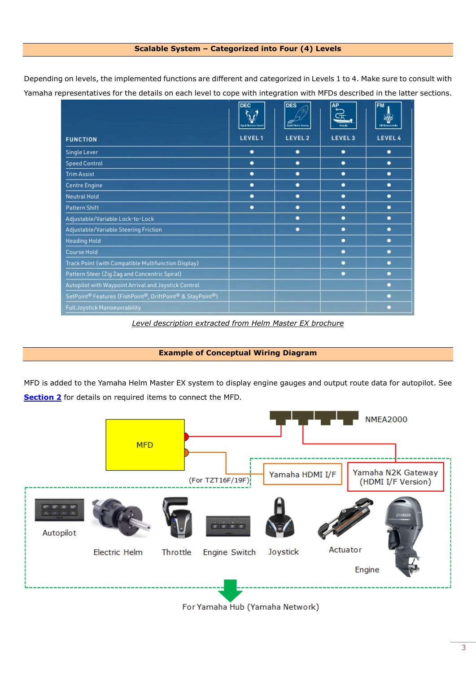#### **Scalable System – Categorized into Four (4) Levels**

Depending on levels, the implemented functions are different and categorized in Levels 1 to 4. Make sure to consult with Yamaha representatives for the details on each level to cope with integration with MFDs described in the latter sections.

|                                                           | <b>DEC</b><br>of Decrent Central | <b>DES</b><br><b>Digital Electric Streams</b> | AP_                | <b>FM</b><br><b>Id Masswords</b> |
|-----------------------------------------------------------|----------------------------------|-----------------------------------------------|--------------------|----------------------------------|
| <b>FUNCTION</b>                                           | LEVEL 1                          | LEVEL 2                                       | LEVEL <sub>3</sub> | LEVEL 4                          |
| Single Lever                                              | ٠                                | ٠                                             |                    | ٠                                |
| <b>Speed Control</b>                                      | ٠                                | ٠                                             | ٠                  | ٠                                |
| <b>Trim Assist</b>                                        | ٠                                | ٠                                             | ٠                  | ٠                                |
| <b>Centre Engine</b>                                      | ٠                                | ٠                                             |                    | ٠                                |
| <b>Neutral Hold</b>                                       | ٠                                | ٠                                             |                    | ٠                                |
| Pattern Shift                                             | ٠                                | ٠                                             | ٠                  | ٠                                |
| Adjustable/Variable Lock-to-Lock                          |                                  | ۰                                             |                    | ٠                                |
| Adjustable/Variable Steering Friction                     |                                  | ٠                                             |                    | ٠                                |
| <b>Heading Hold</b>                                       |                                  |                                               |                    | о                                |
| <b>Course Hold</b>                                        |                                  |                                               |                    | ٠                                |
| Track Point (with Compatible Multifunction Display)       |                                  |                                               |                    |                                  |
| Pattern Steer (Zig Zag and Concentric Spiral)             |                                  |                                               | ٠                  |                                  |
| Autopilot with Waypoint Arrival and Joystick Control      |                                  |                                               |                    |                                  |
| SetPoint® Features (FishPoint®, DriftPoint® & StayPoint®) |                                  |                                               |                    | ٠                                |
| Full Joystick Manoeuvrability                             |                                  |                                               |                    | o                                |

*Level description extracted from Helm Master EX brochure*

#### **Example of Conceptual Wiring Diagram**

MFD is added to the Yamaha Helm Master EX system to display engine gauges and output route data for autopilot. See **[Section 2](#page-3-2)** for details on required items to connect the MFD.



For Yamaha Hub (Yamaha Network)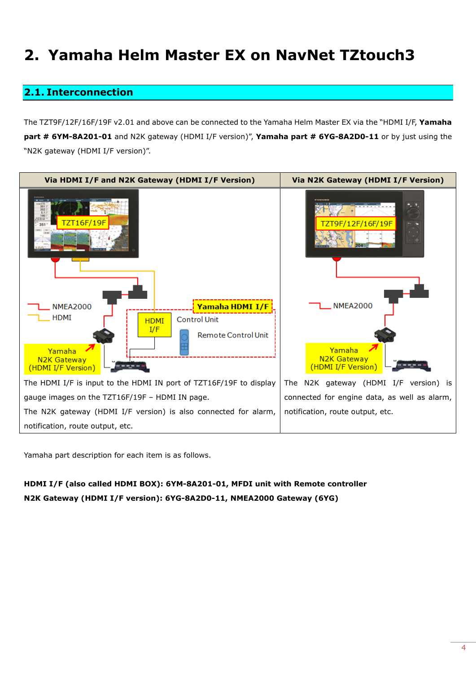## <span id="page-3-2"></span><span id="page-3-0"></span>**2. Yamaha Helm Master EX on NavNet TZtouch3**

## <span id="page-3-1"></span>**2.1. Interconnection**

The TZT9F/12F/16F/19F v2.01 and above can be connected to the Yamaha Helm Master EX via the "HDMI I/F, **Yamaha part # 6YM-8A201-01** and N2K gateway (HDMI I/F version)", **Yamaha part # 6YG-8A2D0-11** or by just using the "N2K gateway (HDMI I/F version)".



Yamaha part description for each item is as follows.

## **HDMI I/F (also called HDMI BOX): 6YM-8A201-01, MFDI unit with Remote controller N2K Gateway (HDMI I/F version): 6YG-8A2D0-11, NMEA2000 Gateway (6YG)**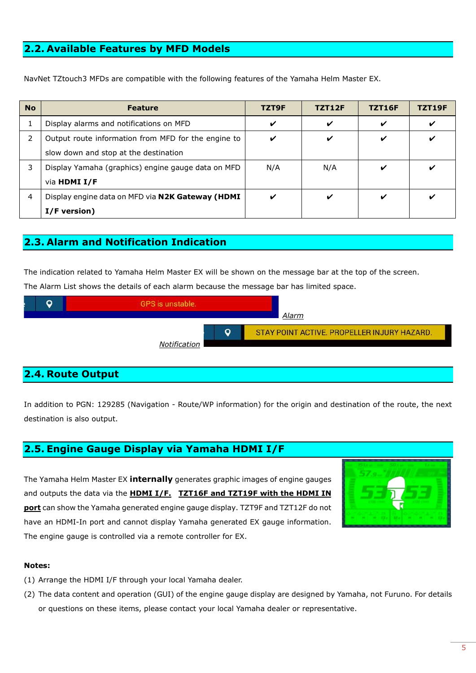## <span id="page-4-0"></span>**2.2. Available Features by MFD Models**

NavNet TZtouch3 MFDs are compatible with the following features of the Yamaha Helm Master EX.

| <b>No</b> | <b>Feature</b>                                      | TZT9F | <b>TZT12F</b> | <b>TZT16F</b> | TZT19F |
|-----------|-----------------------------------------------------|-------|---------------|---------------|--------|
| $\perp$   | Display alarms and notifications on MFD             | ✔     | ✔             |               | v      |
| 2         | Output route information from MFD for the engine to |       | V             | ✓             | ✔      |
|           | slow down and stop at the destination               |       |               |               |        |
| 3         | Display Yamaha (graphics) engine gauge data on MFD  | N/A   | N/A           |               | ✔      |
|           | via HDMI I/F                                        |       |               |               |        |
| 4         | Display engine data on MFD via N2K Gateway (HDMI    | ✔     | ✓             |               | ✔      |
|           | I/F version)                                        |       |               |               |        |

## <span id="page-4-1"></span>**2.3. Alarm and Notification Indication**

The indication related to Yamaha Helm Master EX will be shown on the message bar at the top of the screen. The Alarm List shows the details of each alarm because the message bar has limited space.



## <span id="page-4-2"></span>**2.4. Route Output**

In addition to PGN: 129285 (Navigation - Route/WP information) for the origin and destination of the route, the next destination is also output.

## <span id="page-4-3"></span>**2.5. Engine Gauge Display via Yamaha HDMI I/F**

The Yamaha Helm Master EX **internally** generates graphic images of engine gauges and outputs the data via the **HDMI I/F. TZT16F and TZT19F with the HDMI IN port** can show the Yamaha generated engine gauge display. TZT9F and TZT12F do not have an HDMI-In port and cannot display Yamaha generated EX gauge information. The engine gauge is controlled via a remote controller for EX.



#### **Notes:**

- (1) Arrange the HDMI I/F through your local Yamaha dealer.
- (2) The data content and operation (GUI) of the engine gauge display are designed by Yamaha, not Furuno. For details or questions on these items, please contact your local Yamaha dealer or representative.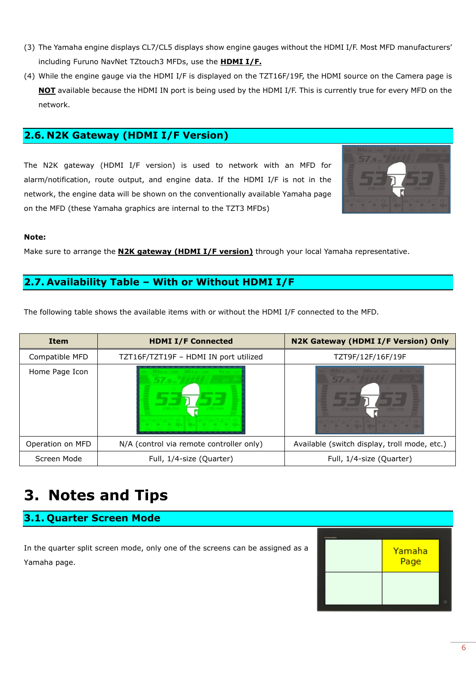- (3) The Yamaha engine displays CL7/CL5 displays show engine gauges without the HDMI I/F. Most MFD manufacturers' including Furuno NavNet TZtouch3 MFDs, use the **HDMI I/F.**
- (4) While the engine gauge via the HDMI I/F is displayed on the TZT16F/19F, the HDMI source on the Camera page is **NOT** available because the HDMI IN port is being used by the HDMI I/F. This is currently true for every MFD on the network.

## <span id="page-5-0"></span>**2.6. N2K Gateway (HDMI I/F Version)**

The N2K gateway (HDMI I/F version) is used to network with an MFD for alarm/notification, route output, and engine data. If the HDMI I/F is not in the network, the engine data will be shown on the conventionally available Yamaha page on the MFD (these Yamaha graphics are internal to the TZT3 MFDs)



#### **Note:**

Make sure to arrange the **N2K gateway (HDMI I/F version)** through your local Yamaha representative.

### <span id="page-5-1"></span>**2.7. Availability Table – With or Without HDMI I/F**

The following table shows the available items with or without the HDMI I/F connected to the MFD.

| <b>Item</b>      | <b>HDMI I/F Connected</b>                | N2K Gateway (HDMI I/F Version) Only          |  |
|------------------|------------------------------------------|----------------------------------------------|--|
| Compatible MFD   | TZT16F/TZT19F - HDMI IN port utilized    | TZT9F/12F/16F/19F                            |  |
| Home Page Icon   |                                          |                                              |  |
| Operation on MFD | N/A (control via remote controller only) | Available (switch display, troll mode, etc.) |  |
| Screen Mode      | Full, 1/4-size (Quarter)                 | Full, 1/4-size (Quarter)                     |  |

## <span id="page-5-2"></span>**3. Notes and Tips**

## <span id="page-5-3"></span>**3.1. Quarter Screen Mode**

In the quarter split screen mode, only one of the screens can be assigned as a Yamaha page.

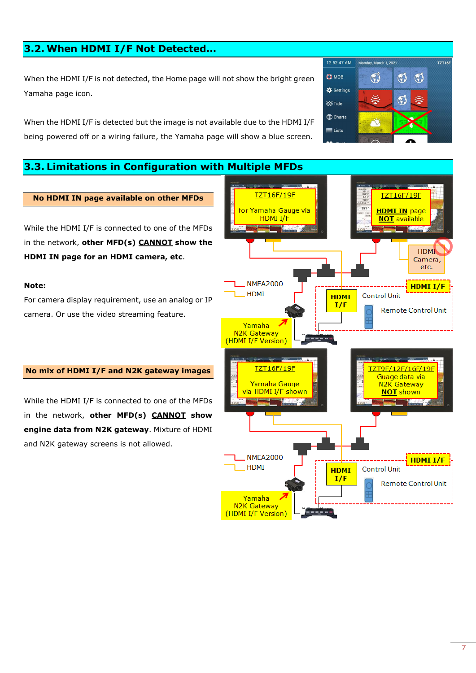## <span id="page-6-0"></span>**3.2. When HDMI I/F Not Detected…**

When the HDMI I/F is not detected, the Home page will not show the bright green Yamaha page icon.

When the HDMI I/F is detected but the image is not available due to the HDMI I/F being powered off or a wiring failure, the Yamaha page will show a blue screen.

### <span id="page-6-1"></span>**3.3. Limitations in Configuration with Multiple MFDs**



#### **No HDMI IN page available on other MFDs**

While the HDMI I/F is connected to one of the MFDs in the network, **other MFD(s) CANNOT show the HDMI IN page for an HDMI camera, etc**.

#### **Note:**

For camera display requirement, use an analog or IP camera. Or use the video streaming feature.

#### **No mix of HDMI I/F and N2K gateway images**

While the HDMI I/F is connected to one of the MFDs in the network, **other MFD(s) CANNOT show engine data from N2K gateway**. Mixture of HDMI and N2K gateway screens is not allowed.